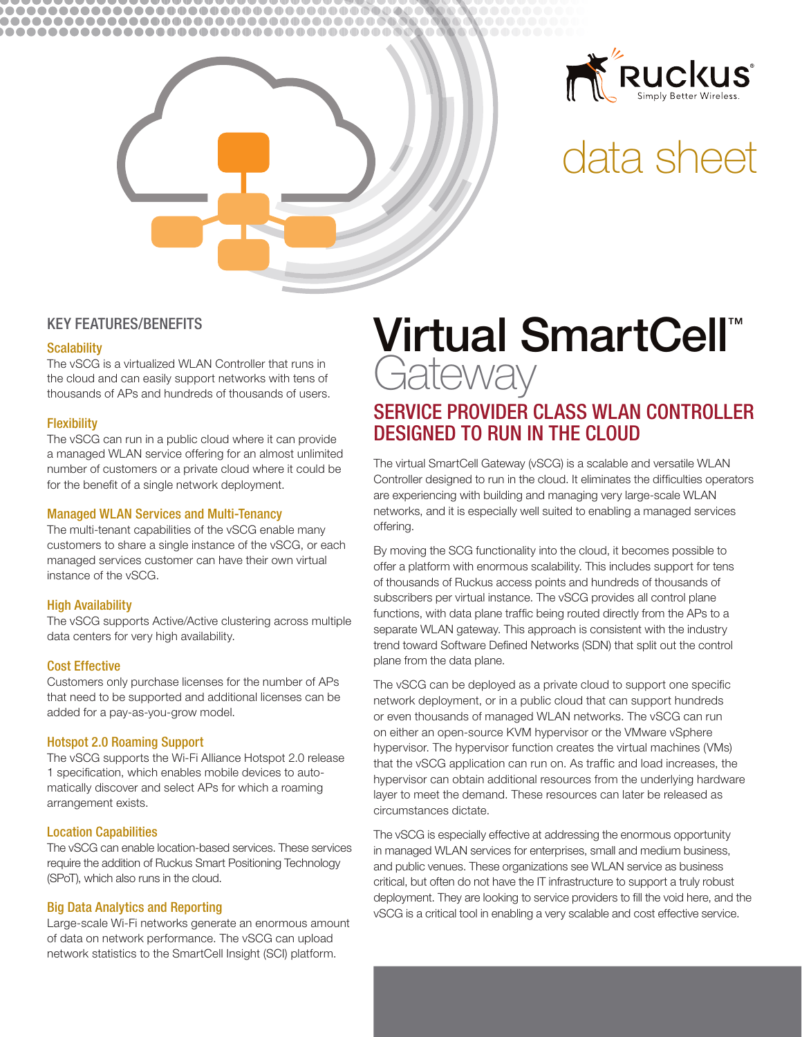



# data sheet

## **KEY FEATURES/BENEFITS**

#### **Scalability**

The vSCG is a virtualized WLAN Controller that runs in the cloud and can easily support networks with tens of thousands of APs and hundreds of thousands of users.

#### **Flexibility**

The vSCG can run in a public cloud where it can provide a managed WLAN service offering for an almost unlimited number of customers or a private cloud where it could be for the benefit of a single network deployment.

#### **Managed WLAN Services and Multi-Tenancy**

The multi-tenant capabilities of the vSCG enable many customers to share a single instance of the vSCG, or each managed services customer can have their own virtual instance of the vSCG.

#### **High Availability**

The vSCG supports Active/Active clustering across multiple data centers for very high availability.

#### **Cost Effective**

Customers only purchase licenses for the number of APs that need to be supported and additional licenses can be added for a pay-as-you-grow model.

#### **Hotspot 2.0 Roaming Support**

The vSCG supports the Wi-Fi Alliance Hotspot 2.0 release 1 specification, which enables mobile devices to automatically discover and select APs for which a roaming arrangement exists.

#### **Location Capabilities**

The vSCG can enable location-based services. These services require the addition of Ruckus Smart Positioning Technology (SPoT), which also runs in the cloud.

#### **Big Data Analytics and Reporting**

Large-scale Wi-Fi networks generate an enormous amount of data on network performance. The vSCG can upload network statistics to the SmartCell Insight (SCI) platform.

# Virtual SmartCell<sup>™</sup> Gateway

# SERVICE PROVIDER CLASS WLAN CONTROLLER **DESIGNED TO RUN IN THE CLOUD**

The virtual SmartCell Gateway (vSCG) is a scalable and versatile WLAN Controller designed to run in the cloud. It eliminates the difficulties operators are experiencing with building and managing very large-scale WLAN networks, and it is especially well suited to enabling a managed services offering.

By moving the SCG functionality into the cloud, it becomes possible to offer a platform with enormous scalability. This includes support for tens of thousands of Ruckus access points and hundreds of thousands of subscribers per virtual instance. The vSCG provides all control plane functions, with data plane traffic being routed directly from the APs to a separate WLAN gateway. This approach is consistent with the industry trend toward Software Defined Networks (SDN) that split out the control plane from the data plane.

The vSCG can be deployed as a private cloud to support one specific network deployment, or in a public cloud that can support hundreds or even thousands of managed WLAN networks. The vSCG can run on either an open-source KVM hypervisor or the VMware vSphere hypervisor. The hypervisor function creates the virtual machines (VMs) that the vSCG application can run on. As traffic and load increases, the hypervisor can obtain additional resources from the underlying hardware laver to meet the demand. These resources can later be released as circumstances dictate.

The vSCG is especially effective at addressing the enormous opportunity in managed WLAN services for enterprises, small and medium business, and public venues. These organizations see WLAN service as business critical, but often do not have the IT infrastructure to support a truly robust deployment. They are looking to service providers to fill the void here, and the vSCG is a critical tool in enabling a very scalable and cost effective service.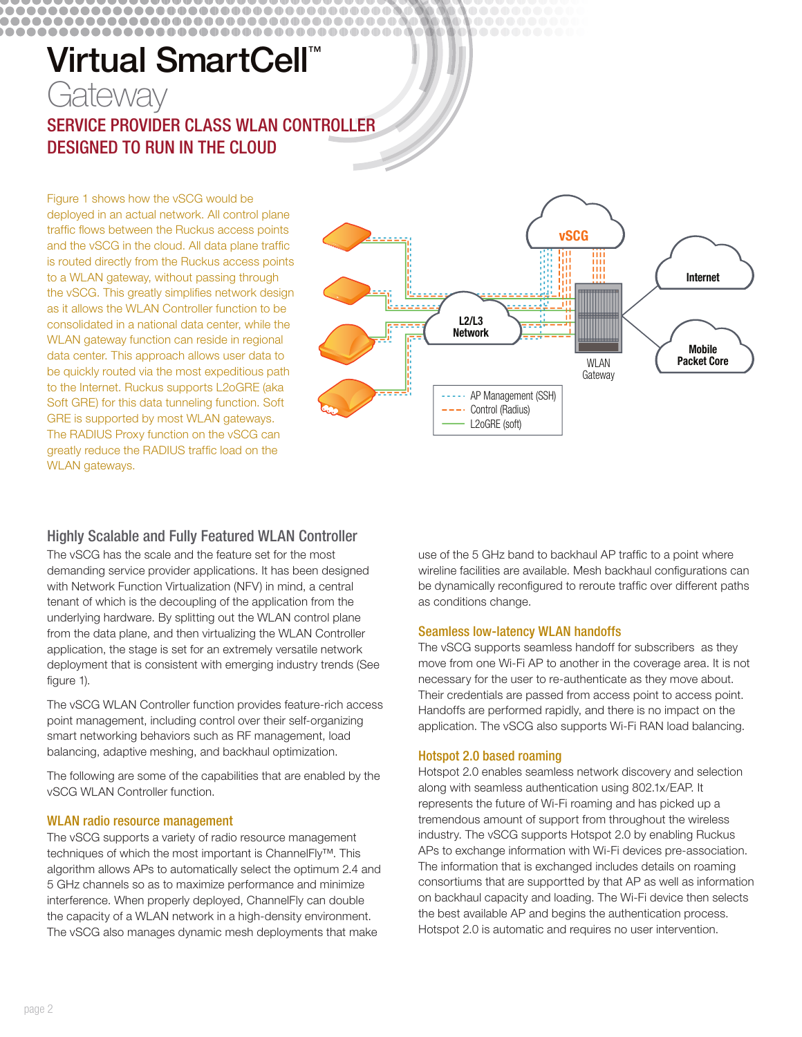# Virtual SmartCell<sup>™</sup> Gateway SERVICE PROVIDER CLASS WLAN CONTROLLER **DESIGNED TO RUN IN THE CLOUD**

..................................... 

> Figure 1 shows how the vSCG would be deployed in an actual network. All control plane traffic flows between the Ruckus access points and the vSCG in the cloud. All data plane traffic is routed directly from the Ruckus access points to a WLAN gateway, without passing through the vSCG. This greatly simplifies network design as it allows the WLAN Controller function to be consolidated in a national data center, while the WLAN gateway function can reside in regional data center. This approach allows user data to be quickly routed via the most expeditious path to the Internet. Ruckus supports L2oGRE (aka Soft GRE) for this data tunneling function. Soft GRE is supported by most WLAN gateways. The RADIUS Proxy function on the vSCG can greatly reduce the RADIUS traffic load on the WLAN gateways.

# **Highly Scalable and Fully Featured WLAN Controller**

The vSCG has the scale and the feature set for the most demanding service provider applications. It has been designed with Network Function Virtualization (NFV) in mind, a central tenant of which is the decoupling of the application from the underlying hardware. By splitting out the WLAN control plane from the data plane, and then virtualizing the WLAN Controller application, the stage is set for an extremely versatile network deployment that is consistent with emerging industry trends (See figure 1).

The vSCG WLAN Controller function provides feature-rich access point management, including control over their self-organizing smart networking behaviors such as RF management, load balancing, adaptive meshing, and backhaul optimization.

The following are some of the capabilities that are enabled by the vSCG WLAN Controller function.

### **WLAN radio resource management**

The vSCG supports a variety of radio resource management techniques of which the most important is ChannelFly™. This algorithm allows APs to automatically select the optimum 2.4 and 5 GHz channels so as to maximize performance and minimize interference. When properly deployed, ChannelFly can double the capacity of a WLAN network in a high-density environment. The vSCG also manages dynamic mesh deployments that make



use of the 5 GHz band to backhaul AP traffic to a point where wireline facilities are available. Mesh backhaul configurations can be dynamically reconfigured to reroute traffic over different paths as conditions change.

#### **Seamless low-latency WLAN handoffs**

The vSCG supports seamless handoff for subscribers as they move from one Wi-Fi AP to another in the coverage area. It is not necessary for the user to re-authenticate as they move about. Their credentials are passed from access point to access point. Handoffs are performed rapidly, and there is no impact on the application. The vSCG also supports Wi-Fi RAN load balancing.

#### **Hotspot 2.0 based roaming**

Hotspot 2.0 enables seamless network discovery and selection along with seamless authentication using 802.1x/EAP. It represents the future of Wi-Fi roaming and has picked up a tremendous amount of support from throughout the wireless industry. The vSCG supports Hotspot 2.0 by enabling Ruckus APs to exchange information with Wi-Fi devices pre-association. The information that is exchanged includes details on roaming consortiums that are supportted by that AP as well as information on backhaul capacity and loading. The Wi-Fi device then selects the best available AP and begins the authentication process. Hotspot 2.0 is automatic and requires no user intervention.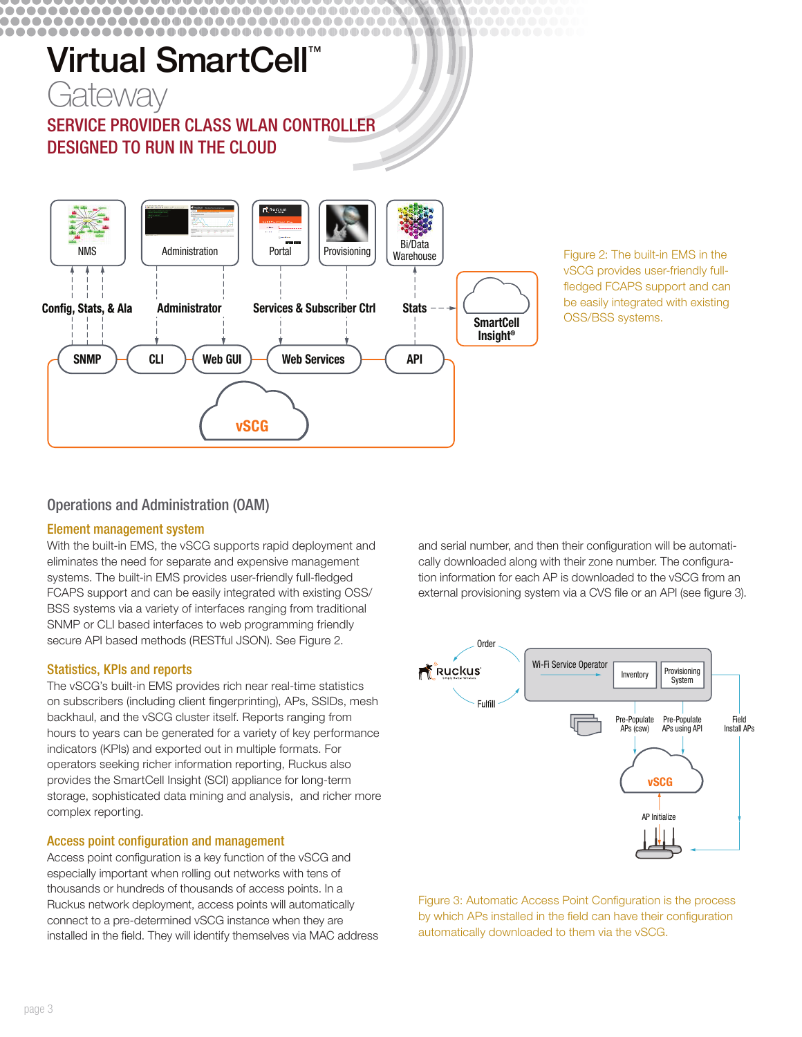#### .....................................

# Virtual SmartCell<sup>™</sup>



SERVICE PROVIDER CLASS WLAN CONTROLLER **DESIGNED TO RUN IN THE CLOUD** 



Figure 2: The built-in EMS in the vSCG provides user-friendly fullfledged FCAPS support and can be easily integrated with existing OSS/BSS systems.

# **Operations and Administration (OAM)**

### **Element management system**

With the built-in EMS, the vSCG supports rapid deployment and eliminates the need for separate and expensive management systems. The built-in EMS provides user-friendly full-fledged FCAPS support and can be easily integrated with existing OSS/ BSS systems via a variety of interfaces ranging from traditional SNMP or CLI based interfaces to web programming friendly secure API based methods (RESTful JSON). See Figure 2.

### **Statistics, KPIs and reports**

The vSCG's built-in EMS provides rich near real-time statistics on subscribers (including client fingerprinting), APs, SSIDs, mesh backhaul, and the vSCG cluster itself. Reports ranging from hours to years can be generated for a variety of key performance indicators (KPIs) and exported out in multiple formats. For operators seeking richer information reporting, Ruckus also provides the SmartCell Insight (SCI) appliance for long-term storage, sophisticated data mining and analysis, and richer more complex reporting.

### **Access point configuration and management**

Access point configuration is a key function of the vSCG and especially important when rolling out networks with tens of thousands or hundreds of thousands of access points. In a Ruckus network deployment, access points will automatically connect to a pre-determined vSCG instance when they are installed in the field. They will identify themselves via MAC address

and serial number, and then their configuration will be automatically downloaded along with their zone number. The configuration information for each AP is downloaded to the vSCG from an external provisioning system via a CVS file or an API (see figure 3).



Figure 3: Automatic Access Point Configuration is the process by which APs installed in the field can have their configuration automatically downloaded to them via the vSCG.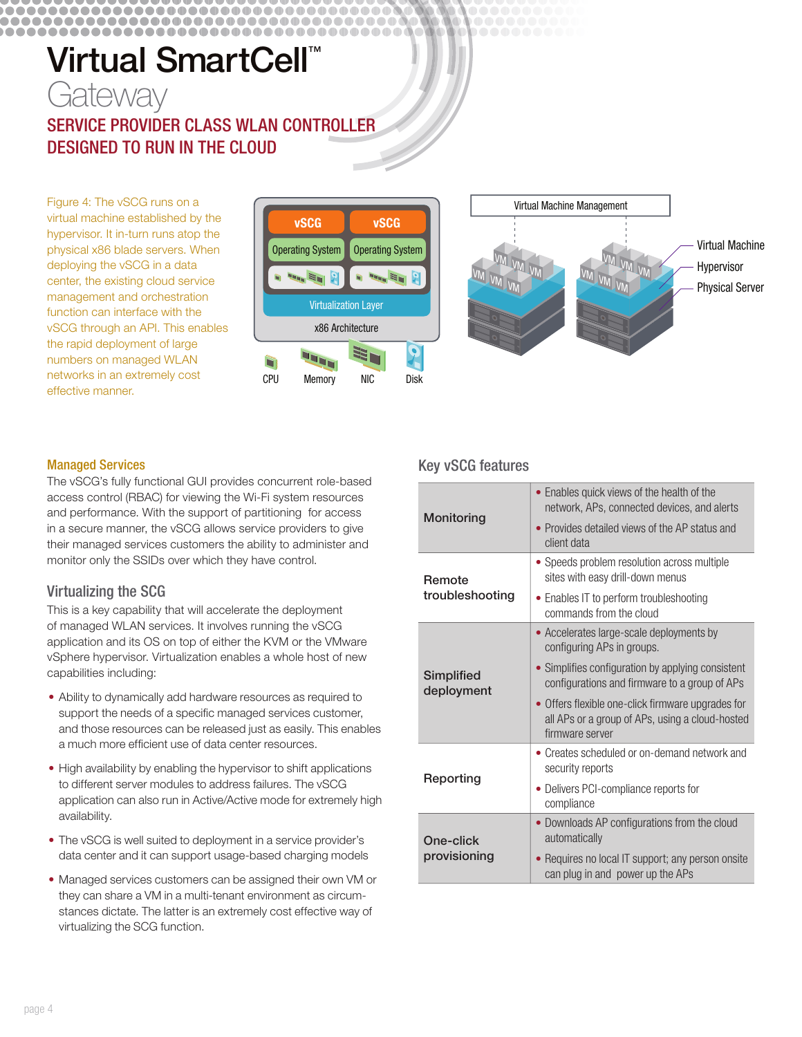# Virtual SmartCell<sup>™</sup>

,,,,,,,,,,,,,,,,,,,,,,,,,,,,,,,,,,,

# Gateway SERVICE PROVIDER CLASS WLAN CONTROLLER **DESIGNED TO RUN IN THE CLOUD**

Figure 4: The vSCG runs on a virtual machine established by the hypervisor. It in-turn runs atop the physical x86 blade servers. When deploying the vSCG in a data center, the existing cloud service management and orchestration function can interface with the vSCG through an API. This enables the rapid deployment of large numbers on managed WLAN networks in an extremely cost effective manner.





#### **Managed Services**

................

The vSCG's fully functional GUI provides concurrent role-based access control (RBAC) for viewing the Wi-Fi system resources and performance. With the support of partitioning for access in a secure manner, the vSCG allows service providers to give their managed services customers the ability to administer and monitor only the SSIDs over which they have control.

## **Virtualizing the SCG**

This is a key capability that will accelerate the deployment of managed WLAN services. It involves running the vSCG application and its OS on top of either the KVM or the VMware vSphere hypervisor. Virtualization enables a whole host of new capabilities including:

- Ability to dynamically add hardware resources as required to support the needs of a specific managed services customer, and those resources can be released just as easily. This enables a much more efficient use of data center resources.
- High availability by enabling the hypervisor to shift applications to different server modules to address failures. The vSCG application can also run in Active/Active mode for extremely high availability.
- The vSCG is well suited to deployment in a service provider's data center and it can support usage-based charging models
- Managed services customers can be assigned their own VM or they can share a VM in a multi-tenant environment as circumstances dictate. The latter is an extremely cost effective way of virtualizing the SCG function.

## **Key vSCG features**

| Monitoring                | • Enables quick views of the health of the<br>network, APs, connected devices, and alerts                               |
|---------------------------|-------------------------------------------------------------------------------------------------------------------------|
|                           | • Provides detailed views of the AP status and<br>client data                                                           |
| Remote<br>troubleshooting | • Speeds problem resolution across multiple<br>sites with easy drill-down menus                                         |
|                           | • Enables IT to perform troubleshooting<br>commands from the cloud                                                      |
| Simplified<br>deployment  | • Accelerates large-scale deployments by<br>configuring APs in groups.                                                  |
|                           | • Simplifies configuration by applying consistent<br>configurations and firmware to a group of APs                      |
|                           | • Offers flexible one-click firmware upgrades for<br>all APs or a group of APs, using a cloud-hosted<br>firmware server |
| Reporting                 | • Creates scheduled or on-demand network and<br>security reports                                                        |
|                           | • Delivers PCI-compliance reports for<br>compliance                                                                     |
| One-click<br>provisioning | • Downloads AP configurations from the cloud<br>automatically                                                           |
|                           | Requires no local IT support; any person onsite<br>can plug in and power up the APs                                     |